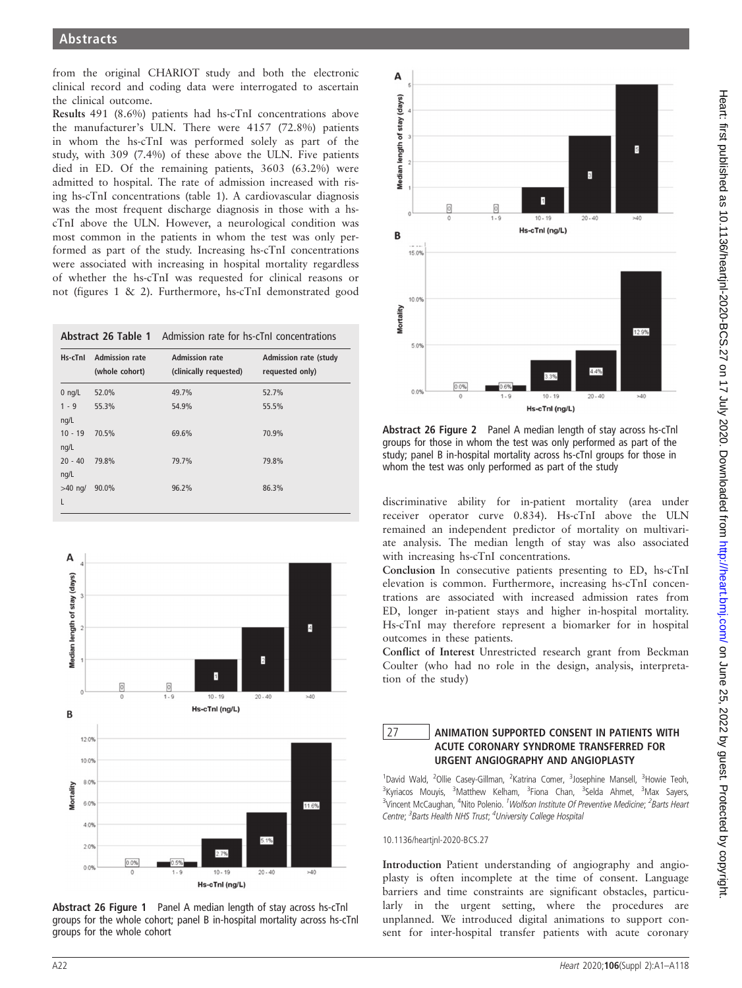from the original CHARIOT study and both the electronic clinical record and coding data were interrogated to ascertain the clinical outcome.

Results 491 (8.6%) patients had hs-cTnI concentrations above the manufacturer's ULN. There were 4157 (72.8%) patients in whom the hs-cTnI was performed solely as part of the study, with 309 (7.4%) of these above the ULN. Five patients died in ED. Of the remaining patients, 3603 (63.2%) were admitted to hospital. The rate of admission increased with rising hs-cTnI concentrations (table 1). A cardiovascular diagnosis was the most frequent discharge diagnosis in those with a hscTnI above the ULN. However, a neurological condition was most common in the patients in whom the test was only performed as part of the study. Increasing hs-cTnI concentrations were associated with increasing in hospital mortality regardless of whether the hs-cTnI was requested for clinical reasons or not (figures 1 & 2). Furthermore, hs-cTnI demonstrated good

|                   |                                         | <b>Abstract 26 Table 1</b> Admission rate for hs-cTnl concentrations |                                                 |  |
|-------------------|-----------------------------------------|----------------------------------------------------------------------|-------------------------------------------------|--|
| Hs-cTnl           | <b>Admission rate</b><br>(whole cohort) | <b>Admission rate</b><br>(clinically requested)                      | <b>Admission rate (study</b><br>requested only) |  |
| $0$ ng/L          | 52.0%                                   | 49.7%                                                                | 52.7%                                           |  |
| $1 - 9$<br>ng/L   | 55.3%                                   | 54.9%                                                                | 55.5%                                           |  |
| $10 - 19$<br>ng/L | 70.5%                                   | 69.6%                                                                | 70.9%                                           |  |
| $20 - 40$<br>ng/L | 79.8%                                   | 79.7%                                                                | 79.8%                                           |  |
| $>40$ ng/<br>L    | 90.0%                                   | 96.2%                                                                | 86.3%                                           |  |



Abstract 26 Figure 1 Panel A median length of stay across hs-cTnl groups for the whole cohort; panel B in-hospital mortality across hs-cTnl groups for the whole cohort



Abstract 26 Figure 2 Panel A median length of stay across hs-cTnl groups for those in whom the test was only performed as part of the study; panel B in-hospital mortality across hs-cTnl groups for those in whom the test was only performed as part of the study

discriminative ability for in-patient mortality (area under receiver operator curve 0.834). Hs-cTnI above the ULN remained an independent predictor of mortality on multivariate analysis. The median length of stay was also associated with increasing hs-cTnI concentrations.

Conclusion In consecutive patients presenting to ED, hs-cTnI elevation is common. Furthermore, increasing hs-cTnI concentrations are associated with increased admission rates from ED, longer in-patient stays and higher in-hospital mortality. Hs-cTnI may therefore represent a biomarker for in hospital outcomes in these patients.

Conflict of Interest Unrestricted research grant from Beckman Coulter (who had no role in the design, analysis, interpretation of the study)

## 27 ANIMATION SUPPORTED CONSENT IN PATIENTS WITH ACUTE CORONARY SYNDROME TRANSFERRED FOR URGENT ANGIOGRAPHY AND ANGIOPLASTY

<sup>1</sup>David Wald, <sup>2</sup>Ollie Casey-Gillman, <sup>2</sup>Katrina Comer, <sup>3</sup>Josephine Mansell, <sup>3</sup>Howie Teoh, <sup>3</sup>Kyriacos Mouyis, <sup>3</sup>Matthew Kelham, <sup>3</sup>Fiona Chan, <sup>3</sup>Selda Ahmet, <sup>3</sup>Max Sayers, <sup>3</sup>Vincent McCaughan, <sup>4</sup>Nito Polenio. <sup>1</sup>Wolfson Institute Of Preventive Medicine; <sup>2</sup>Barts Heart Centre; <sup>3</sup> Barts Health NHS Trust; <sup>4</sup> University College Hospital

10.1136/heartjnl-2020-BCS.27

Introduction Patient understanding of angiography and angioplasty is often incomplete at the time of consent. Language barriers and time constraints are significant obstacles, particularly in the urgent setting, where the procedures are unplanned. We introduced digital animations to support consent for inter-hospital transfer patients with acute coronary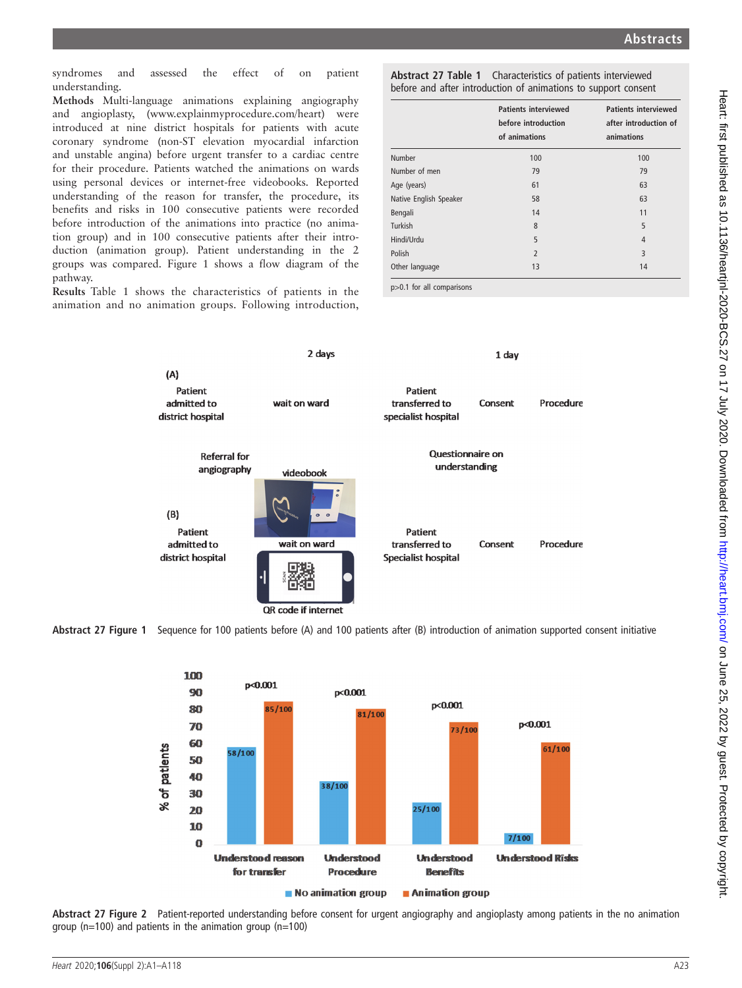syndromes and assessed the effect of on patient understanding.

Methods Multi-language animations explaining angiography and angioplasty, (www.explainmyprocedure.com/heart) were introduced at nine district hospitals for patients with acute coronary syndrome (non-ST elevation myocardial infarction and unstable angina) before urgent transfer to a cardiac centre for their procedure. Patients watched the animations on wards using personal devices or internet-free videobooks. Reported understanding of the reason for transfer, the procedure, its benefits and risks in 100 consecutive patients were recorded before introduction of the animations into practice (no animation group) and in 100 consecutive patients after their introduction (animation group). Patient understanding in the 2 groups was compared. Figure 1 shows a flow diagram of the pathway.

Results Table 1 shows the characteristics of patients in the animation and no animation groups. Following introduction,

Abstract 27 Table 1 Characteristics of patients interviewed before and after introduction of animations to support consent

|                        | <b>Patients interviewed</b><br>before introduction<br>of animations | <b>Patients interviewed</b><br>after introduction of<br>animations |
|------------------------|---------------------------------------------------------------------|--------------------------------------------------------------------|
| Number                 | 100                                                                 | 100                                                                |
| Number of men          | 79                                                                  | 79                                                                 |
| Age (years)            | 61                                                                  | 63                                                                 |
| Native English Speaker | 58                                                                  | 63                                                                 |
| Bengali                | 14                                                                  | 11                                                                 |
| Turkish                | 8                                                                   | 5                                                                  |
| Hindi/Urdu             | 5                                                                   | $\overline{4}$                                                     |
| Polish                 | $\overline{2}$                                                      | 3                                                                  |
| Other language         | 13                                                                  | 14                                                                 |

p>0.1 for all comparisons







Abstract 27 Figure 2 Patient-reported understanding before consent for urgent angiography and angioplasty among patients in the no animation group ( $n=100$ ) and patients in the animation group ( $n=100$ )